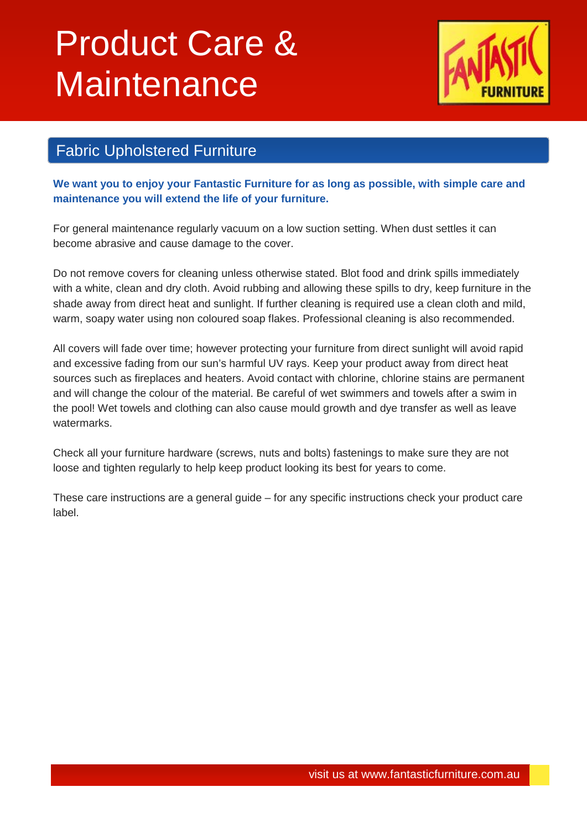## Product Care & **Maintenance**



## Fabric Upholstered Furniture

**We want you to enjoy your Fantastic Furniture for as long as possible, with simple care and maintenance you will extend the life of your furniture.**

For general maintenance regularly vacuum on a low suction setting. When dust settles it can become abrasive and cause damage to the cover.

Do not remove covers for cleaning unless otherwise stated. Blot food and drink spills immediately with a white, clean and dry cloth. Avoid rubbing and allowing these spills to dry, keep furniture in the shade away from direct heat and sunlight. If further cleaning is required use a clean cloth and mild, warm, soapy water using non coloured soap flakes. Professional cleaning is also recommended.

All covers will fade over time; however protecting your furniture from direct sunlight will avoid rapid and excessive fading from our sun's harmful UV rays. Keep your product away from direct heat sources such as fireplaces and heaters. Avoid contact with chlorine, chlorine stains are permanent and will change the colour of the material. Be careful of wet swimmers and towels after a swim in the pool! Wet towels and clothing can also cause mould growth and dye transfer as well as leave watermarks.

Check all your furniture hardware (screws, nuts and bolts) fastenings to make sure they are not loose and tighten regularly to help keep product looking its best for years to come.

These care instructions are a general guide – for any specific instructions check your product care label.